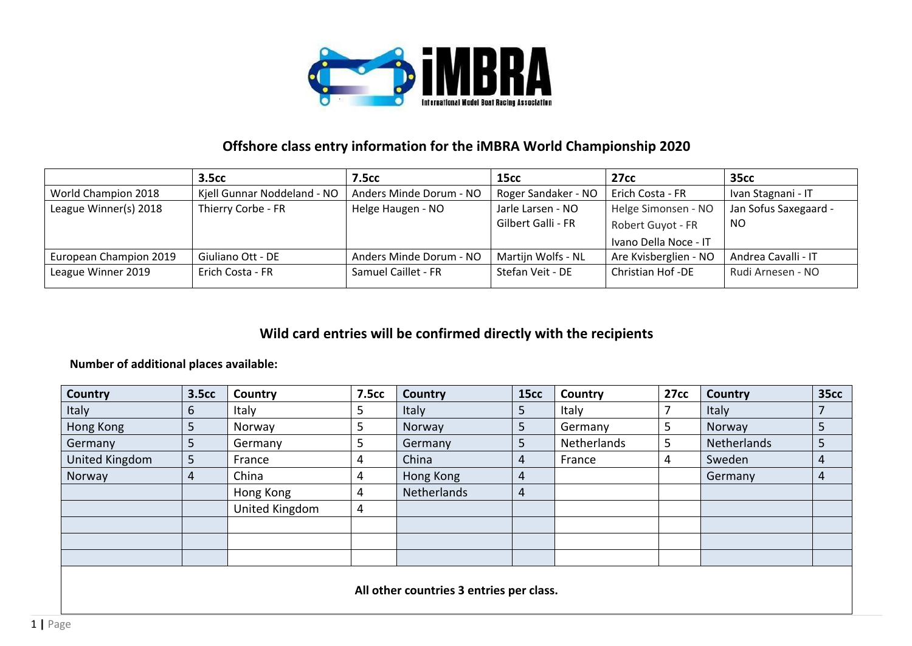

## **Offshore class entry information for the iMBRA World Championship 2020**

|                        | <b>3.5cc</b>                | <b>7.5cc</b>            | 15cc                | <b>27cc</b>             | <b>35cc</b>           |
|------------------------|-----------------------------|-------------------------|---------------------|-------------------------|-----------------------|
| World Champion 2018    | Kjell Gunnar Noddeland - NO | Anders Minde Dorum - NO | Roger Sandaker - NO | Erich Costa - FR        | Ivan Stagnani - IT    |
| League Winner(s) 2018  | Thierry Corbe - FR          | Helge Haugen - NO       | Jarle Larsen - NO   | Helge Simonsen - NO     | Jan Sofus Saxegaard - |
|                        |                             |                         | Gilbert Galli - FR  | Robert Guyot - FR       | NO                    |
|                        |                             |                         |                     | Ivano Della Noce - IT   |                       |
| European Champion 2019 | Giuliano Ott - DE           | Anders Minde Dorum - NO | Martijn Wolfs - NL  | Are Kvisberglien - NO   | Andrea Cavalli - IT   |
| League Winner 2019     | Erich Costa - FR            | Samuel Caillet - FR     | Stefan Veit - DE    | <b>Christian Hof-DE</b> | Rudi Arnesen - NO     |

## **Wild card entries will be confirmed directly with the recipients**

## **Number of additional places available:**

| <b>Country</b> | <b>3.5cc</b> | Country        | 7.5cc | Country                                  | 15cc           | <b>Country</b> | 27cc | Country     | <b>35cc</b> |
|----------------|--------------|----------------|-------|------------------------------------------|----------------|----------------|------|-------------|-------------|
| <b>Italy</b>   | 6            | Italy          |       | <b>Italy</b>                             | 5              | Italy          |      | Italy       |             |
| Hong Kong      | 5            | Norway         | J     | Norway                                   | b.             | Germany        | 5    | Norway      | 5           |
| Germany        | 5            | Germany        |       | Germany                                  | 5              | Netherlands    | 5.   | Netherlands | 5           |
| United Kingdom | 5            | France         |       | China                                    | 4              | France         | 4    | Sweden      | 4           |
| Norway         | 4            | China          |       | Hong Kong                                | 4              |                |      | Germany     | 4           |
|                |              | Hong Kong      | 4     | Netherlands                              | $\overline{4}$ |                |      |             |             |
|                |              | United Kingdom | 4     |                                          |                |                |      |             |             |
|                |              |                |       |                                          |                |                |      |             |             |
|                |              |                |       |                                          |                |                |      |             |             |
|                |              |                |       |                                          |                |                |      |             |             |
|                |              |                |       |                                          |                |                |      |             |             |
|                |              |                |       | All other countries 3 entries per class. |                |                |      |             |             |